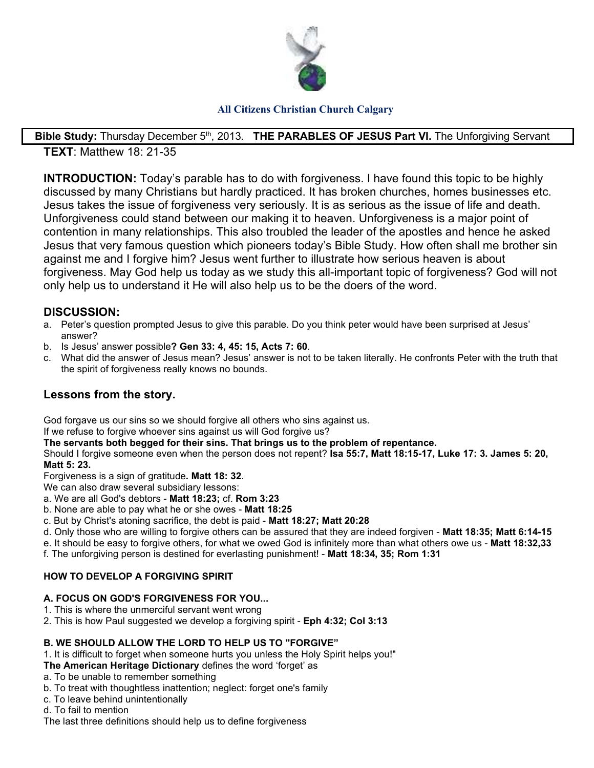

### **All Citizens Christian Church Calgary**

#### Bible Study: Thursday December 5<sup>th</sup>, 2013. **THE PARABLES OF JESUS Part VI.** The Unforgiving Servant **TEXT**: Matthew 18: 21-35

**INTRODUCTION:** Today's parable has to do with forgiveness. I have found this topic to be highly discussed by many Christians but hardly practiced. It has broken churches, homes businesses etc. Jesus takes the issue of forgiveness very seriously. It is as serious as the issue of life and death. Unforgiveness could stand between our making it to heaven. Unforgiveness is a major point of contention in many relationships. This also troubled the leader of the apostles and hence he asked Jesus that very famous question which pioneers today's Bible Study. How often shall me brother sin against me and I forgive him? Jesus went further to illustrate how serious heaven is about forgiveness. May God help us today as we study this all-important topic of forgiveness? God will not only help us to understand it He will also help us to be the doers of the word.

## **DISCUSSION:**

- a. Peter's question prompted Jesus to give this parable. Do you think peter would have been surprised at Jesus' answer?
- b. Is Jesus' answer possible**? Gen 33: 4, 45: 15, Acts 7: 60**.
- c. What did the answer of Jesus mean? Jesus' answer is not to be taken literally. He confronts Peter with the truth that the spirit of forgiveness really knows no bounds.

# **Lessons from the story.**

God forgave us our sins so we should forgive all others who sins against us.

If we refuse to forgive whoever sins against us will God forgive us?

**The servants both begged for their sins. That brings us to the problem of repentance.** 

Should I forgive someone even when the person does not repent? **Isa 55:7, Matt 18:15-17, Luke 17: 3. James 5: 20, Matt 5: 23.** 

Forgiveness is a sign of gratitude**. Matt 18: 32**.

We can also draw several subsidiary lessons:

- a. We are all God's debtors **Matt 18:23;** cf. **Rom 3:23**
- b. None are able to pay what he or she owes **Matt 18:25**
- c. But by Christ's atoning sacrifice, the debt is paid **Matt 18:27; Matt 20:28**
- d. Only those who are willing to forgive others can be assured that they are indeed forgiven **Matt 18:35; Matt 6:14-15**
- e. It should be easy to forgive others, for what we owed God is infinitely more than what others owe us **Matt 18:32,33**
- f. The unforgiving person is destined for everlasting punishment! **Matt 18:34, 35; Rom 1:31**

#### **HOW TO DEVELOP A FORGIVING SPIRIT**

#### **A. FOCUS ON GOD'S FORGIVENESS FOR YOU...**

- 1. This is where the unmerciful servant went wrong
- 2. This is how Paul suggested we develop a forgiving spirit **Eph 4:32; Col 3:13**

#### **B. WE SHOULD ALLOW THE LORD TO HELP US TO "FORGIVE"**

- 1. It is difficult to forget when someone hurts you unless the Holy Spirit helps you!"
- **The American Heritage Dictionary** defines the word 'forget' as
- a. To be unable to remember something
- b. To treat with thoughtless inattention; neglect: forget one's family
- c. To leave behind unintentionally
- d. To fail to mention
- The last three definitions should help us to define forgiveness